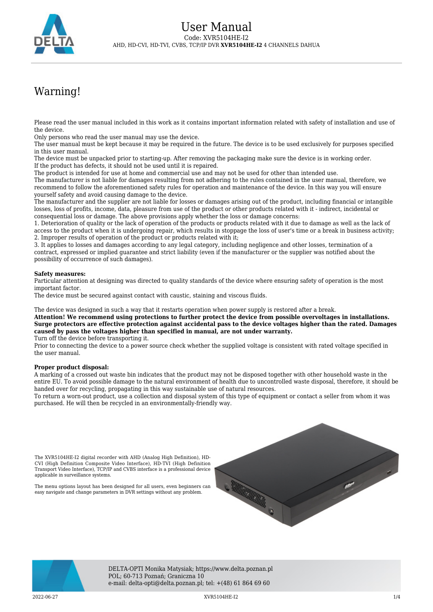

# Warning!

Please read the user manual included in this work as it contains important information related with safety of installation and use of the device.

Only persons who read the user manual may use the device.

The user manual must be kept because it may be required in the future. The device is to be used exclusively for purposes specified in this user manual.

The device must be unpacked prior to starting-up. After removing the packaging make sure the device is in working order. If the product has defects, it should not be used until it is repaired.

The product is intended for use at home and commercial use and may not be used for other than intended use.

The manufacturer is not liable for damages resulting from not adhering to the rules contained in the user manual, therefore, we recommend to follow the aforementioned safety rules for operation and maintenance of the device. In this way you will ensure yourself safety and avoid causing damage to the device.

The manufacturer and the supplier are not liable for losses or damages arising out of the product, including financial or intangible losses, loss of profits, income, data, pleasure from use of the product or other products related with it - indirect, incidental or consequential loss or damage. The above provisions apply whether the loss or damage concerns:

1. Deterioration of quality or the lack of operation of the products or products related with it due to damage as well as the lack of access to the product when it is undergoing repair, which results in stoppage the loss of user's time or a break in business activity; 2. Improper results of operation of the product or products related with it;

3. It applies to losses and damages according to any legal category, including negligence and other losses, termination of a contract, expressed or implied guarantee and strict liability (even if the manufacturer or the supplier was notified about the possibility of occurrence of such damages).

#### **Safety measures:**

Particular attention at designing was directed to quality standards of the device where ensuring safety of operation is the most important factor.

The device must be secured against contact with caustic, staining and viscous fluids.

The device was designed in such a way that it restarts operation when power supply is restored after a break.

**Attention! We recommend using protections to further protect the device from possible overvoltages in installations. Surge protectors are effective protection against accidental pass to the device voltages higher than the rated. Damages caused by pass the voltages higher than specified in manual, are not under warranty.**

Turn off the device before transporting it.

Prior to connecting the device to a power source check whether the supplied voltage is consistent with rated voltage specified in the user manual.

#### **Proper product disposal:**

A marking of a crossed out waste bin indicates that the product may not be disposed together with other household waste in the entire EU. To avoid possible damage to the natural environment of health due to uncontrolled waste disposal, therefore, it should be handed over for recycling, propagating in this way sustainable use of natural resources.

To return a worn-out product, use a collection and disposal system of this type of equipment or contact a seller from whom it was purchased. He will then be recycled in an environmentally-friendly way.

The XVR5104HE-I2 digital recorder with AHD (Analog High Definition), HD-CVI (High Definition Composite Video Interface), HD-TVI (High Definition Transport Video Interface), TCP/IP and CVBS interface is a professional device applicable in surveillance systems.

The menu options layout has been designed for all users, even beginners can easy navigate and change parameters in DVR settings without any problem.





DELTA-OPTI Monika Matysiak; https://www.delta.poznan.pl POL; 60-713 Poznań; Graniczna 10 e-mail: delta-opti@delta.poznan.pl; tel: +(48) 61 864 69 60

2022-06-27 XVR5104HE-I2 1/4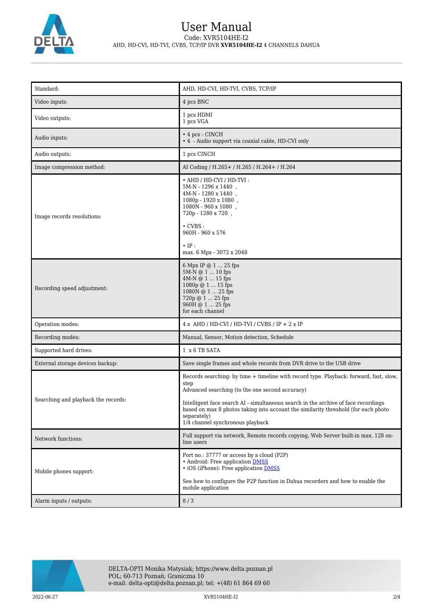

### User Manual Code: XVR5104HE-I2 AHD, HD-CVI, HD-TVI, CVBS, TCP/IP DVR **XVR5104HE-I2** 4 CHANNELS DAHUA

| Standard:                           | AHD, HD-CVI, HD-TVI, CVBS, TCP/IP                                                                                                                                                                                                                                                                                                                                                |  |
|-------------------------------------|----------------------------------------------------------------------------------------------------------------------------------------------------------------------------------------------------------------------------------------------------------------------------------------------------------------------------------------------------------------------------------|--|
| Video inputs:                       | 4 pcs BNC                                                                                                                                                                                                                                                                                                                                                                        |  |
| Video outputs:                      | 1 pcs HDMI<br>1 pcs VGA                                                                                                                                                                                                                                                                                                                                                          |  |
| Audio inputs:                       | $\cdot$ 4 pcs - CINCH<br>• 4 - Audio support via coaxial cable, HD-CVI only                                                                                                                                                                                                                                                                                                      |  |
| Audio outputs:                      | 1 pcs CINCH                                                                                                                                                                                                                                                                                                                                                                      |  |
| Image compression method:           | AI Coding / H.265 + / H.265 / H.264 + / H.264                                                                                                                                                                                                                                                                                                                                    |  |
| Image records resolutions:          | • AHD / HD-CVI / HD-TVI :<br>$5M-N - 1296 \ge 1440$ ,<br>$4M-N - 1280 \times 1440$ ,<br>1080p - 1920 x 1080,<br>1080N - 960 x 1080,<br>720p - 1280 x 720,<br>$\cdot$ CVBS :<br>960H - 960 x 576<br>$\cdot$ IP :<br>max. 6 Mpx - 3072 x 2048                                                                                                                                      |  |
| Recording speed adjustment:         | 6 Mpx IP @ 1  25 fps<br>$5M-N @ 1  10$ fps<br>4M-N @ 1  15 fps<br>$1080p \oplus 115$ fps<br>1080N @ 1  25 fps<br>720p @ 1  25 fps<br>960H @ 1  25 fps<br>for each channel                                                                                                                                                                                                        |  |
| Operation modes:                    | $4 x$ AHD / HD-CVI / HD-TVI / CVBS / IP + 2 x IP                                                                                                                                                                                                                                                                                                                                 |  |
| Recording modes:                    | Manual, Sensor, Motion detection, Schedule                                                                                                                                                                                                                                                                                                                                       |  |
| Supported hard drives:              | 1 x 6 TB SATA                                                                                                                                                                                                                                                                                                                                                                    |  |
| External storage devices backup:    | Save single frames and whole records from DVR drive to the USB drive                                                                                                                                                                                                                                                                                                             |  |
| Searching and playback the records: | Records searching: by time + timeline with record type. Playback: forward, fast, slow,<br>step<br>Advanced searching (to the one second accuracy)<br>Intelligent face search AI - simultaneous search in the archive of face recordings<br>based on max 8 photos taking into account the similarity threshold (for each photo<br>separately)<br>1/4 channel synchronous playback |  |
| Network functions:                  | Full support via network, Remote records copying, Web Server built-in max. 128 on-<br>line users                                                                                                                                                                                                                                                                                 |  |
| Mobile phones support:              | Port no.: 37777 or access by a cloud (P2P)<br>• Android: Free application DMSS<br>• iOS (iPhone): Free application <b>DMSS</b><br>See how to configure the P2P function in Dahua recorders and how to enable the<br>mobile application                                                                                                                                           |  |
| Alarm inputs / outputs:             | 8/3                                                                                                                                                                                                                                                                                                                                                                              |  |

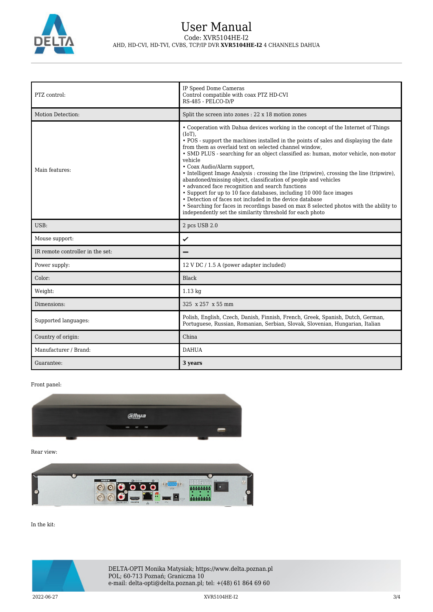

## User Manual Code: XVR5104HE-I2 AHD, HD-CVI, HD-TVI, CVBS, TCP/IP DVR **XVR5104HE-I2** 4 CHANNELS DAHUA

| PTZ control:                     | IP Speed Dome Cameras<br>Control compatible with coax PTZ HD-CVI<br>RS-485 - PELCO-D/P                                                                                                                                                                                                                                                                                                                                                                                                                                                                                                                                                                                                                                                                                                                                                                                                            |  |
|----------------------------------|---------------------------------------------------------------------------------------------------------------------------------------------------------------------------------------------------------------------------------------------------------------------------------------------------------------------------------------------------------------------------------------------------------------------------------------------------------------------------------------------------------------------------------------------------------------------------------------------------------------------------------------------------------------------------------------------------------------------------------------------------------------------------------------------------------------------------------------------------------------------------------------------------|--|
| Motion Detection:                | Split the screen into zones : 22 x 18 motion zones                                                                                                                                                                                                                                                                                                                                                                                                                                                                                                                                                                                                                                                                                                                                                                                                                                                |  |
| Main features:                   | • Cooperation with Dahua devices working in the concept of the Internet of Things<br>$(IoT)$ ,<br>• POS - support the machines installed in the points of sales and displaying the date<br>from them as overlaid text on selected channel window,<br>• SMD PLUS - searching for an object classified as: human, motor vehicle, non-motor<br>vehicle<br>• Coax Audio/Alarm support,<br>• Intelligent Image Analysis : crossing the line (tripwire), crossing the line (tripwire),<br>abandoned/missing object, classification of people and vehicles<br>• advanced face recognition and search functions<br>• Support for up to 10 face databases, including 10 000 face images<br>• Detection of faces not included in the device database<br>• Searching for faces in recordings based on max 8 selected photos with the ability to<br>independently set the similarity threshold for each photo |  |
| $USB$                            | 2 pcs USB 2.0                                                                                                                                                                                                                                                                                                                                                                                                                                                                                                                                                                                                                                                                                                                                                                                                                                                                                     |  |
| Mouse support:                   | ✓                                                                                                                                                                                                                                                                                                                                                                                                                                                                                                                                                                                                                                                                                                                                                                                                                                                                                                 |  |
| IR remote controller in the set: |                                                                                                                                                                                                                                                                                                                                                                                                                                                                                                                                                                                                                                                                                                                                                                                                                                                                                                   |  |
| Power supply:                    | 12 V DC / 1.5 A (power adapter included)                                                                                                                                                                                                                                                                                                                                                                                                                                                                                                                                                                                                                                                                                                                                                                                                                                                          |  |
| Color:                           | Black                                                                                                                                                                                                                                                                                                                                                                                                                                                                                                                                                                                                                                                                                                                                                                                                                                                                                             |  |
| Weight:                          | $1.13 \text{ kg}$                                                                                                                                                                                                                                                                                                                                                                                                                                                                                                                                                                                                                                                                                                                                                                                                                                                                                 |  |
| Dimensions:                      | 325 x 257 x 55 mm                                                                                                                                                                                                                                                                                                                                                                                                                                                                                                                                                                                                                                                                                                                                                                                                                                                                                 |  |
| Supported languages:             | Polish, English, Czech, Danish, Finnish, French, Greek, Spanish, Dutch, German,<br>Portuguese, Russian, Romanian, Serbian, Slovak, Slovenian, Hungarian, Italian                                                                                                                                                                                                                                                                                                                                                                                                                                                                                                                                                                                                                                                                                                                                  |  |
| Country of origin:               | China                                                                                                                                                                                                                                                                                                                                                                                                                                                                                                                                                                                                                                                                                                                                                                                                                                                                                             |  |
| Manufacturer / Brand:            | <b>DAHUA</b>                                                                                                                                                                                                                                                                                                                                                                                                                                                                                                                                                                                                                                                                                                                                                                                                                                                                                      |  |
| Guarantee:                       | 3 years                                                                                                                                                                                                                                                                                                                                                                                                                                                                                                                                                                                                                                                                                                                                                                                                                                                                                           |  |

Front panel:



Rear view:



In the kit:



 $2022$ -06-27 3/4